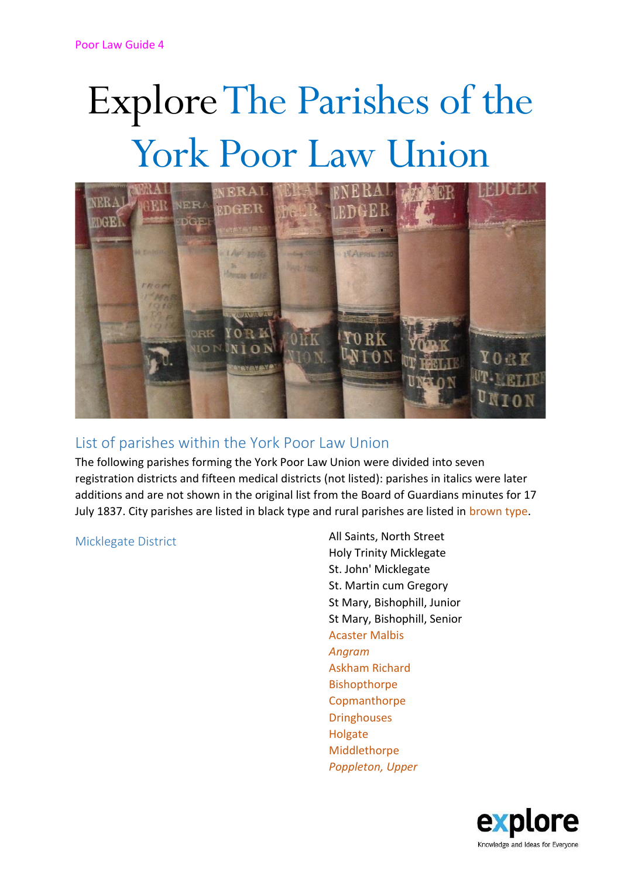# Explore The Parishes of the York Poor Law Union



# List of parishes within the York Poor Law Union

The following parishes forming the York Poor Law Union were divided into seven registration districts and fifteen medical districts (not listed): parishes in italics were later additions and are not shown in the original list from the Board of Guardians minutes for 17 July 1837. City parishes are listed in black type and rural parishes are listed in brown type.

Micklegate District **All Saints, North Street** Holy Trinity Micklegate St. John' Micklegate St. Martin cum Gregory St Mary, Bishophill, Junior St Mary, Bishophill, Senior Acaster Malbis *Angram* Askham Richard Bishopthorpe **Copmanthorpe Dringhouses** Holgate Middlethorpe *Poppleton, Upper*

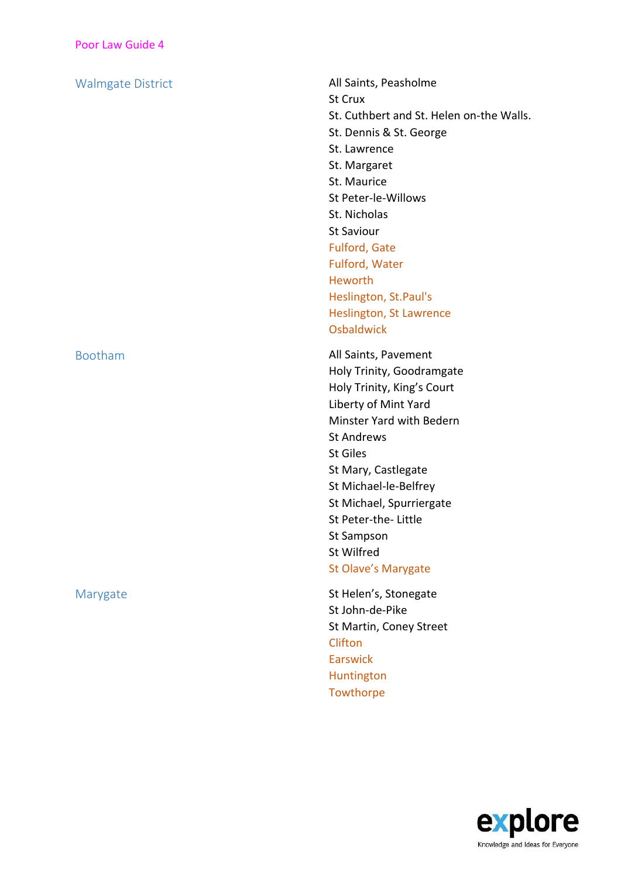Walmgate District **All Saints, Peasholme** St Crux St. Cuthbert and St. Helen on-the Walls. St. Dennis & St. George St. Lawrence St. Margaret St. Maurice St Peter-le-Willows St. Nicholas St Saviour Fulford, Gate Fulford, Water Heworth Heslington, St.Paul's Heslington, St Lawrence

**Osbaldwick** 

Bootham **All Saints, Pavement** Holy Trinity, Goodramgate Holy Trinity, King's Court Liberty of Mint Yard Minster Yard with Bedern St Andrews St Giles St Mary, Castlegate St Michael-le-Belfrey St Michael, Spurriergate St Peter-the- Little St Sampson St Wilfred St Olave's Marygate

Marygate Marygate St Helen's, Stonegate St John-de-Pike St Martin, Coney Street **Clifton** Earswick Huntington **Towthorpe** 

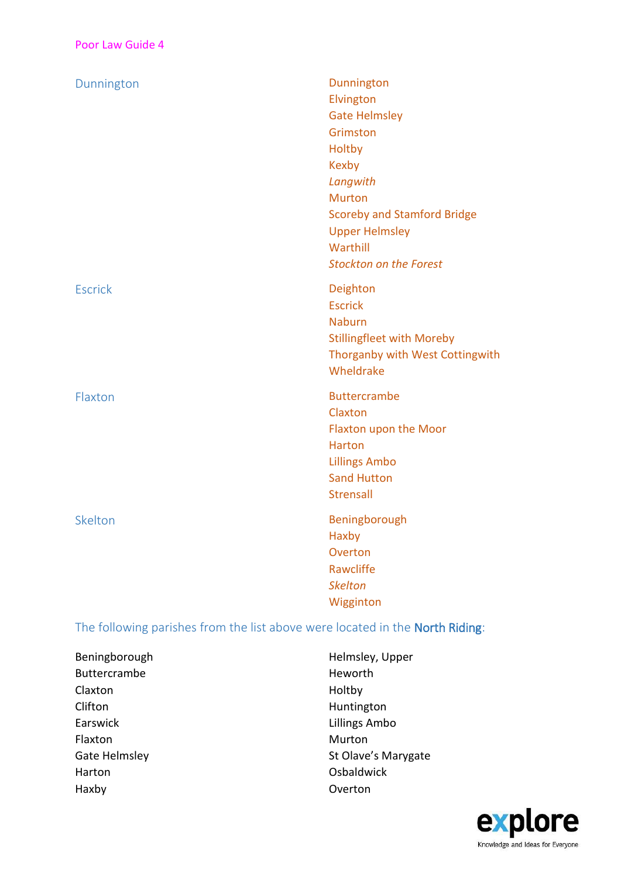| Dunnington     | Dunnington                         |
|----------------|------------------------------------|
|                | Elvington                          |
|                | <b>Gate Helmsley</b>               |
|                | Grimston                           |
|                | Holtby                             |
|                | <b>Kexby</b>                       |
|                | Langwith                           |
|                | <b>Murton</b>                      |
|                | <b>Scoreby and Stamford Bridge</b> |
|                | <b>Upper Helmsley</b>              |
|                | Warthill                           |
|                | <b>Stockton on the Forest</b>      |
| <b>Escrick</b> | Deighton                           |
|                | <b>Escrick</b>                     |
|                | <b>Naburn</b>                      |
|                | <b>Stillingfleet with Moreby</b>   |
|                | Thorganby with West Cottingwith    |
|                | Wheldrake                          |
| Flaxton        | <b>Buttercrambe</b>                |
|                | Claxton                            |
|                | Flaxton upon the Moor              |
|                | <b>Harton</b>                      |
|                | <b>Lillings Ambo</b>               |
|                | <b>Sand Hutton</b>                 |
|                | <b>Strensall</b>                   |
| Skelton        | Beningborough                      |
|                | Haxby                              |
|                | Overton                            |
|                | Rawcliffe                          |
|                | <b>Skelton</b>                     |
|                | Wigginton                          |
|                |                                    |

## The following parishes from the list above were located in the North Riding:

| Beningborough |
|---------------|
| Buttercrambe  |
| Claxton       |
| Clifton       |
| Earswick      |
| Flaxton       |
| Gate Helmsley |
| Harton        |
| Haxby         |

Helmsley, Upper Heworth Holtby Huntington Lillings Ambo Murton St Olave's Marygate **Osbaldwick** Overton